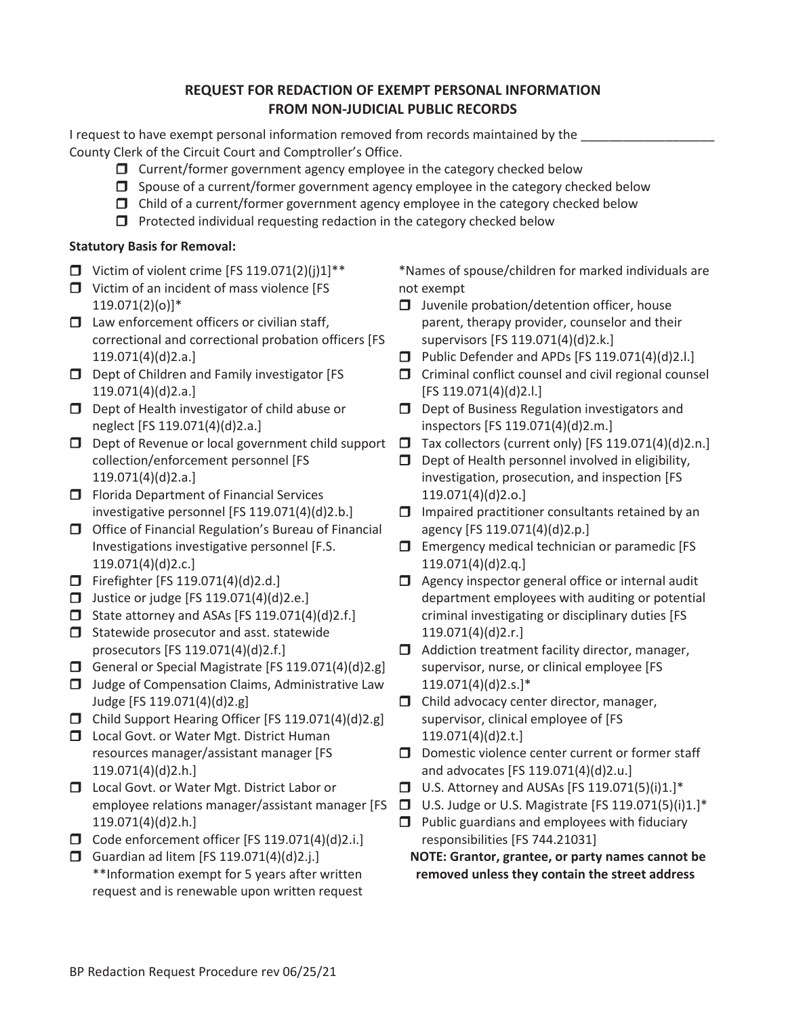## **REQUEST FOR REDACTION OF EXEMPT PERSONAL INFORMATION FROM NON-JUDICIAL PUBLIC RECORDS**

I request to have exempt personal information removed from records maintained by the County Clerk of the Circuit Court and Comptroller's Office.

- $\Box$  Current/former government agency employee in the category checked below
- $\Box$  Spouse of a current/former government agency employee in the category checked below
- $\Box$  Child of a current/former government agency employee in the category checked below
- $\Box$  Protected individual requesting redaction in the category checked below

## **Statutory Basis for Removal:**

- $\Box$  Victim of violent crime [FS 119.071(2)(j)1]\*\*
- □ Victim of an incident of mass violence [FS 119.071(2)(o)]\*
- $\Box$  Law enforcement officers or civilian staff, correctional and correctional probation officers [FS 119.071(4)(d)2.a.]
- Dept of Children and Family investigator [FS 119.071(4)(d)2.a.]
- D Dept of Health investigator of child abuse or neglect [FS 119.071(4)(d)2.a.]
- $\Box$  Dept of Revenue or local government child support collection/enforcement personnel [FS 119.071(4)(d)2.a.]
- $\Box$  Florida Department of Financial Services investigative personnel [FS 119.071(4)(d)2.b.]
- Office of Financial Regulation's Bureau of Financial Investigations investigative personnel [F.S. 119.071(4)(d)2.c.]
- $\Box$  Firefighter [FS 119.071(4)(d)2.d.]
- Justice or judge [FS 119.071(4)(d)2.e.]
- $\Box$  State attorney and ASAs [FS 119.071(4)(d)2.f.]
- $\Box$  Statewide prosecutor and asst. statewide prosecutors [FS 119.071(4)(d)2.f.]
- General or Special Magistrate [FS 119.071(4)(d)2.g]
- $\Box$  Judge of Compensation Claims, Administrative Law Judge [FS 119.071(4)(d)2.g]
- Child Support Hearing Officer [FS 119.071(4)(d)2.g]
- □ Local Govt. or Water Mgt. District Human resources manager/assistant manager [FS 119.071(4)(d)2.h.]
- □ Local Govt. or Water Mgt. District Labor or 119.071(4)(d)2.h.]
- $\Box$  Code enforcement officer [FS 119.071(4)(d)2.i.]
- Guardian ad litem [FS 119.071(4)(d)2.j.] \*\*Information exempt for 5 years after written request and is renewable upon written request

\*Names of spouse/children for marked individuals are not exempt

- $\Box$  Juvenile probation/detention officer, house parent, therapy provider, counselor and their supervisors [FS 119.071(4)(d)2.k.]
- **D** Public Defender and APDs [FS  $119.071(4)(d)2.1$ .]
- $\Box$  Criminal conflict counsel and civil regional counsel [FS 119.071(4)(d)2.l.]
- D Dept of Business Regulation investigators and inspectors [FS 119.071(4)(d)2.m.]
- $\Box$  Tax collectors (current only) [FS 119.071(4)(d)2.n.]
- $\Box$  Dept of Health personnel involved in eligibility, investigation, prosecution, and inspection [FS 119.071(4)(d)2.o.]
- $\Box$  Impaired practitioner consultants retained by an agency [FS 119.071(4)(d)2.p.]
- $\square$  Emergency medical technician or paramedic [FS 119.071(4)(d)2.q.]
- $\Box$  Agency inspector general office or internal audit department employees with auditing or potential criminal investigating or disciplinary duties [FS 119.071(4)(d)2.r.]
- $\Box$  Addiction treatment facility director, manager, supervisor, nurse, or clinical employee [FS 119.071(4)(d)2.s.]\*
- $\Box$  Child advocacy center director, manager, supervisor, clinical employee of [FS 119.071(4)(d)2.t.]
- $\square$  Domestic violence center current or former staff and advocates [FS 119.071(4)(d)2.u.]
- $\Box$  U.S. Attorney and AUSAs [FS 119.071(5)(i)1.]\*
- employee relations manager/assistant manager [FS  $\Box$  U.S. Judge or U.S. Magistrate [FS 119.071(5)(i)1.]\*
	- $\Box$  Public guardians and employees with fiduciary responsibilities [FS 744.21031]

**NOTE: Grantor, grantee, or party names cannot be removed unless they contain the street address**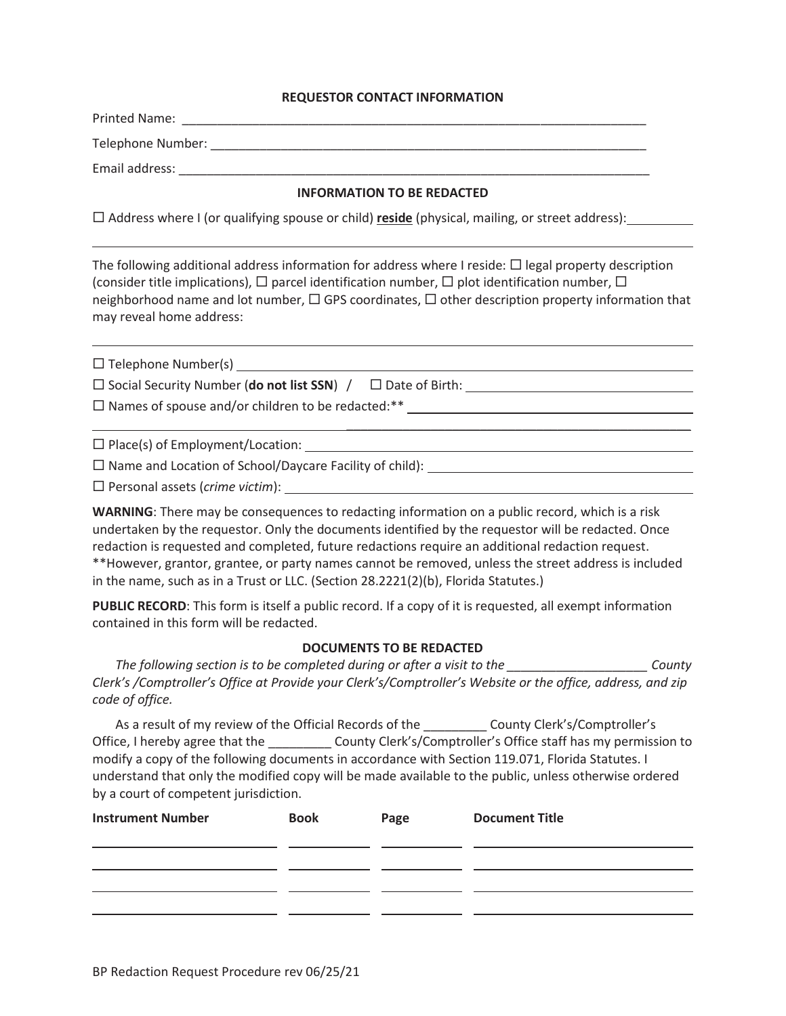## **REQUESTOR CONTACT INFORMATION**

|                                                                                                                                                                                                                                                                                                                                                                         |             | <b>INFORMATION TO BE REDACTED</b> |                                                                                                                                                                                                                                                                                                                                                                                                                               |
|-------------------------------------------------------------------------------------------------------------------------------------------------------------------------------------------------------------------------------------------------------------------------------------------------------------------------------------------------------------------------|-------------|-----------------------------------|-------------------------------------------------------------------------------------------------------------------------------------------------------------------------------------------------------------------------------------------------------------------------------------------------------------------------------------------------------------------------------------------------------------------------------|
| $\Box$ Address where I (or qualifying spouse or child) reside (physical, mailing, or street address):                                                                                                                                                                                                                                                                   |             |                                   |                                                                                                                                                                                                                                                                                                                                                                                                                               |
| The following additional address information for address where I reside: $\Box$ legal property description<br>(consider title implications), $\Box$ parcel identification number, $\Box$ plot identification number, $\Box$<br>neighborhood name and lot number, $\Box$ GPS coordinates, $\Box$ other description property information that<br>may reveal home address: |             |                                   |                                                                                                                                                                                                                                                                                                                                                                                                                               |
|                                                                                                                                                                                                                                                                                                                                                                         |             |                                   |                                                                                                                                                                                                                                                                                                                                                                                                                               |
|                                                                                                                                                                                                                                                                                                                                                                         |             |                                   |                                                                                                                                                                                                                                                                                                                                                                                                                               |
|                                                                                                                                                                                                                                                                                                                                                                         |             |                                   |                                                                                                                                                                                                                                                                                                                                                                                                                               |
|                                                                                                                                                                                                                                                                                                                                                                         |             |                                   | <u> 1989 - Jan Samuel Barbara, margaret a shekara 1980 - An tsara 1980 - An tsara 1980 - An tsara 1980 - An tsar</u>                                                                                                                                                                                                                                                                                                          |
|                                                                                                                                                                                                                                                                                                                                                                         |             |                                   |                                                                                                                                                                                                                                                                                                                                                                                                                               |
|                                                                                                                                                                                                                                                                                                                                                                         |             |                                   |                                                                                                                                                                                                                                                                                                                                                                                                                               |
| in the name, such as in a Trust or LLC. (Section 28.2221(2)(b), Florida Statutes.)                                                                                                                                                                                                                                                                                      |             |                                   | WARNING: There may be consequences to redacting information on a public record, which is a risk<br>undertaken by the requestor. Only the documents identified by the requestor will be redacted. Once<br>redaction is requested and completed, future redactions require an additional redaction request.<br>** However, grantor, grantee, or party names cannot be removed, unless the street address is included            |
| contained in this form will be redacted.                                                                                                                                                                                                                                                                                                                                |             |                                   | PUBLIC RECORD: This form is itself a public record. If a copy of it is requested, all exempt information                                                                                                                                                                                                                                                                                                                      |
|                                                                                                                                                                                                                                                                                                                                                                         |             | <b>DOCUMENTS TO BE REDACTED</b>   |                                                                                                                                                                                                                                                                                                                                                                                                                               |
| code of office.                                                                                                                                                                                                                                                                                                                                                         |             |                                   | The following section is to be completed during or after a visit to the ________________________County<br>Clerk's /Comptroller's Office at Provide your Clerk's/Comptroller's Website or the office, address, and zip                                                                                                                                                                                                         |
| by a court of competent jurisdiction.                                                                                                                                                                                                                                                                                                                                   |             |                                   | As a result of my review of the Official Records of the ____________ County Clerk's/Comptroller's<br>Office, I hereby agree that the ____________ County Clerk's/Comptroller's Office staff has my permission to<br>modify a copy of the following documents in accordance with Section 119.071, Florida Statutes. I<br>understand that only the modified copy will be made available to the public, unless otherwise ordered |
| <b>Instrument Number</b>                                                                                                                                                                                                                                                                                                                                                | <b>Book</b> | Page                              | <b>Document Title</b>                                                                                                                                                                                                                                                                                                                                                                                                         |
|                                                                                                                                                                                                                                                                                                                                                                         |             |                                   |                                                                                                                                                                                                                                                                                                                                                                                                                               |
|                                                                                                                                                                                                                                                                                                                                                                         |             |                                   |                                                                                                                                                                                                                                                                                                                                                                                                                               |
|                                                                                                                                                                                                                                                                                                                                                                         |             |                                   |                                                                                                                                                                                                                                                                                                                                                                                                                               |